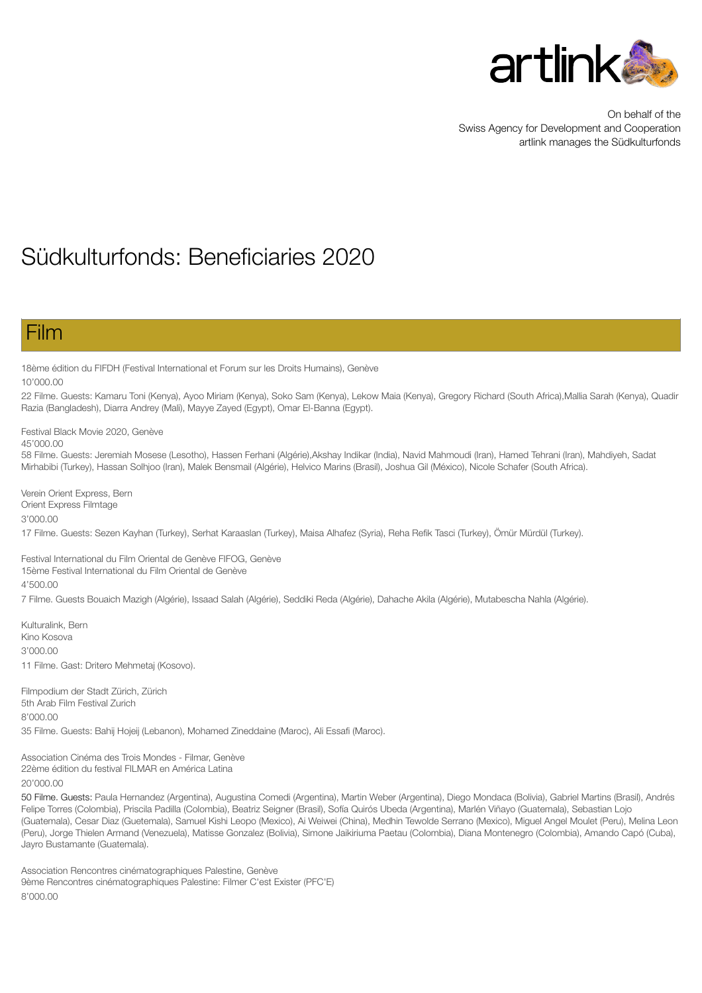

On behalf of the Swiss Agency for Development and Cooperation artlink manages the Südkulturfonds

# Südkulturfonds: Beneficiaries 2020

### Film

18ème édition du FIFDH (Festival International et Forum sur les Droits Humains), Genève

10'000.00

22 Filme. Guests: Kamaru Toni (Kenya), Ayoo Miriam (Kenya), Soko Sam (Kenya), Lekow Maia (Kenya), Gregory Richard (South Africa),Mallia Sarah (Kenya), Quadir Razia (Bangladesh), Diarra Andrey (Mali), Mayye Zayed (Egypt), Omar El-Banna (Egypt).

Festival Black Movie 2020, Genève

45'000.00

58 Filme. Guests: Jeremiah Mosese (Lesotho), Hassen Ferhani (Algérie),Akshay Indikar (India), Navid Mahmoudi (Iran), Hamed Tehrani (Iran), Mahdiyeh, Sadat Mirhabibi (Turkey), Hassan Solhjoo (Iran), Malek Bensmail (Algérie), Helvico Marins (Brasil), Joshua Gil (México), Nicole Schafer (South Africa).

Verein Orient Express, Bern Orient Express Filmtage 3'000.00

17 Filme. Guests: Sezen Kayhan (Turkey), Serhat Karaaslan (Turkey), Maisa Alhafez (Syria), Reha Refik Tasci (Turkey), Ömür Mürdül (Turkey).

Festival International du Film Oriental de Genève FIFOG, Genève 15ème Festival International du Film Oriental de Genève 4'500.00

7 Filme. Guests Bouaich Mazigh (Algérie), Issaad Salah (Algérie), Seddiki Reda (Algérie), Dahache Akila (Algérie), Mutabescha Nahla (Algérie).

Kulturalink, Bern Kino Kosova 3'000.00 11 Filme. Gast: Dritero Mehmetaj (Kosovo).

Filmpodium der Stadt Zürich, Zürich 5th Arab Film Festival Zurich 8'000.00 35 Filme. Guests: Bahij Hojeij (Lebanon), Mohamed Zineddaine (Maroc), Ali Essafi (Maroc).

Association Cinéma des Trois Mondes - Filmar, Genève 22ème édition du festival FILMAR en América Latina 20'000.00

50 Filme. Guests: Paula Hernandez (Argentina), Augustina Comedi (Argentina), Martin Weber (Argentina), Diego Mondaca (Bolivia), Gabriel Martins (Brasil), Andrés Felipe Torres (Colombia), Priscila Padilla (Colombia), Beatriz Seigner (Brasil), Sofía Quirós Ubeda (Argentina), Marlén Viñayo (Guatemala), Sebastian Lojo (Guatemala), Cesar Diaz (Guetemala), Samuel Kishi Leopo (Mexico), Ai Weiwei (China), Medhin Tewolde Serrano (Mexico), Miguel Angel Moulet (Peru), Melina Leon (Peru), Jorge Thielen Armand (Venezuela), Matisse Gonzalez (Bolivia), Simone Jaikiriuma Paetau (Colombia), Diana Montenegro (Colombia), Amando Capó (Cuba), Jayro Bustamante (Guatemala).

Association Rencontres cinématographiques Palestine, Genève 9ème Rencontres cinématographiques Palestine: Filmer C'est Exister (PFC'E) 8'000.00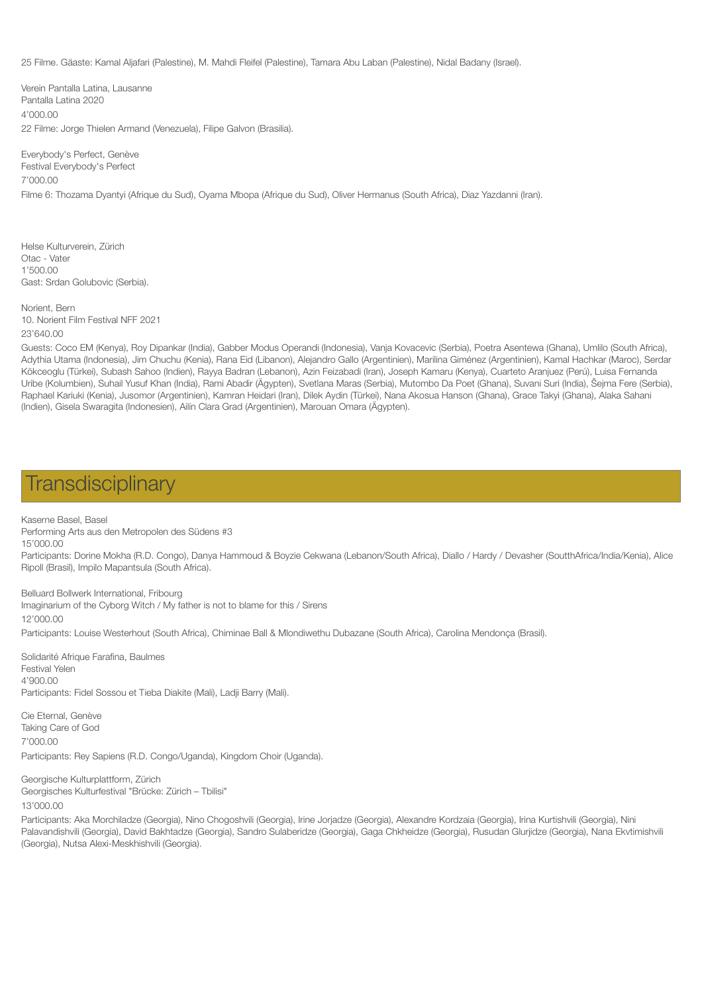25 Filme. Gäaste: Kamal Aljafari (Palestine), M. Mahdi Fleifel (Palestine), Tamara Abu Laban (Palestine), Nidal Badany (Israel).

Verein Pantalla Latina, Lausanne Pantalla Latina 2020 4'000.00 22 Filme: Jorge Thielen Armand (Venezuela), Filipe Galvon (Brasilia).

Everybody's Perfect, Genève Festival Everybody's Perfect 7'000.00 Filme 6: Thozama Dyantyi (Afrique du Sud), Oyama Mbopa (Afrique du Sud), Oliver Hermanus (South Africa), Diaz Yazdanni (Iran).

Helse Kulturverein, Zürich Otac - Vater 1'500.00 Gast: Srdan Golubovic (Serbia).

Norient, Bern 10. Norient Film Festival NFF 2021 23'640.00

Guests: Coco EM (Kenya), Roy Dipankar (India), Gabber Modus Operandi (Indonesia), Vanja Kovacevic (Serbia), Poetra Asentewa (Ghana), Umlilo (South Africa), Adythia Utama (Indonesia), Jim Chuchu (Kenia), Rana Eid (Libanon), Alejandro Gallo (Argentinien), Marilina Giménez (Argentinien), Kamal Hachkar (Maroc), Serdar Kökceoglu (Türkei), Subash Sahoo (Indien), Rayya Badran (Lebanon), Azin Feizabadi (Iran), Joseph Kamaru (Kenya), Cuarteto Aranjuez (Perú), Luisa Fernanda Uribe (Kolumbien), Suhail Yusuf Khan (India), Rami Abadir (Ägypten), Svetlana Maras (Serbia), Mutombo Da Poet (Ghana), Suvani Suri (India), Šejma Fere (Serbia), Raphael Kariuki (Kenia), Jusomor (Argentinien), Kamran Heidari (Iran), Dilek Aydin (Türkei), Nana Akosua Hanson (Ghana), Grace Takyi (Ghana), Alaka Sahani (Indien), Gisela Swaragita (Indonesien), Ailín Clara Grad (Argentinien), Marouan Omara (Ägypten).

### **Transdisciplinary**

Kaserne Basel, Basel Performing Arts aus den Metropolen des Südens #3 15'000.00

Participants: Dorine Mokha (R.D. Congo), Danya Hammoud & Boyzie Cekwana (Lebanon/South Africa), Diallo / Hardy / Devasher (SoutthAfrica/India/Kenia), Alice Ripoll (Brasil), Impilo Mapantsula (South Africa).

Belluard Bollwerk International, Fribourg Imaginarium of the Cyborg Witch / My father is not to blame for this / Sirens 12'000.00 Participants: Louise Westerhout (South Africa), Chiminae Ball & Mlondiwethu Dubazane (South Africa), Carolina Mendonça (Brasil).

Solidarité Afrique Farafina, Baulmes Festival Yelen 4'900.00 Participants: Fidel Sossou et Tieba Diakite (Mali), Ladji Barry (Mali).

Cie Eternal, Genève Taking Care of God 7'000.00 Participants: Rey Sapiens (R.D. Congo/Uganda), Kingdom Choir (Uganda).

Georgische Kulturplattform, Zürich Georgisches Kulturfestival "Brücke: Zürich – Tbilisi" 13'000.00

Participants: Aka Morchiladze (Georgia), Nino Chogoshvili (Georgia), Irine Jorjadze (Georgia), Alexandre Kordzaia (Georgia), Irina Kurtishvili (Georgia), Nini Palavandishvili (Georgia), David Bakhtadze (Georgia), Sandro Sulaberidze (Georgia), Gaga Chkheidze (Georgia), Rusudan Glurjidze (Georgia), Nana Ekvtimishvili (Georgia), Nutsa Alexi-Meskhishvili (Georgia).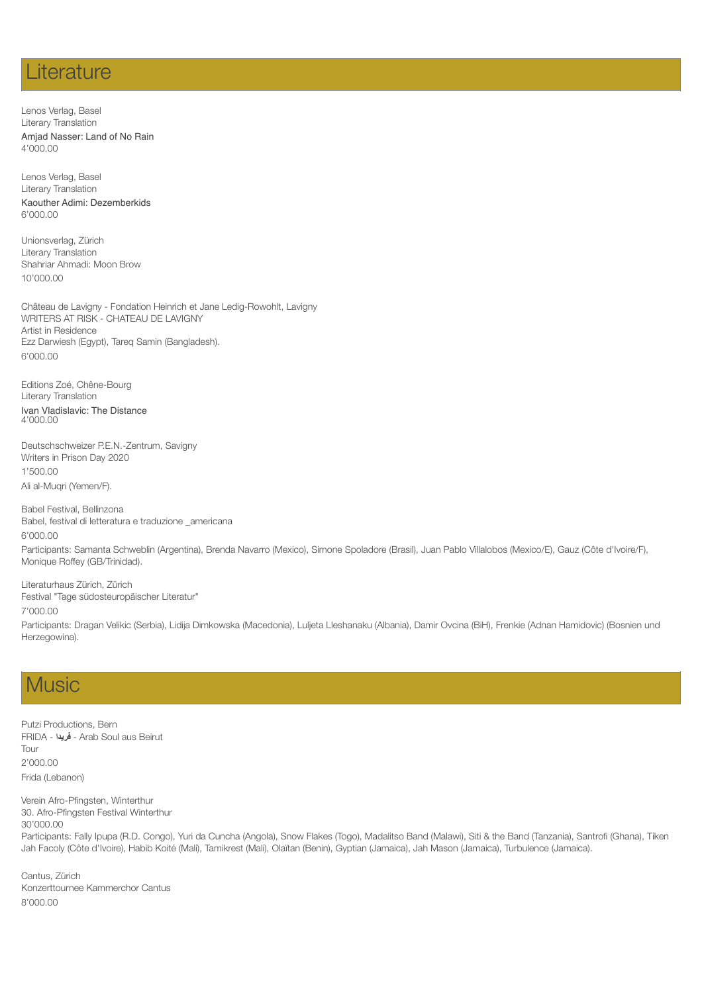### **Literature**

Lenos Verlag, Basel Literary Translation Amjad Nasser: Land of No Rain 4'000.00

Lenos Verlag, Basel Literary Translation Kaouther Adimi: Dezemberkids 6'000.00

Unionsverlag, Zürich Literary Translation Shahriar Ahmadi: Moon Brow 10'000.00

Château de Lavigny - Fondation Heinrich et Jane Ledig-Rowohlt, Lavigny WRITERS AT RISK - CHATEAU DE LAVIGNY Artist in Residence Ezz Darwiesh (Egypt), Tareq Samin (Bangladesh). 6'000.00

Editions Zoé, Chêne-Bourg Literary Translation Ivan Vladislavic: The Distance 4'000.00

Monique Roffey (GB/Trinidad).

Deutschschweizer P.E.N.-Zentrum, Savigny Writers in Prison Day 2020 1'500.00 Ali al-Muqri (Yemen/F).

Babel Festival, Bellinzona Babel, festival di letteratura e traduzione \_americana 6'000.00 Participants: Samanta Schweblin (Argentina), Brenda Navarro (Mexico), Simone Spoladore (Brasil), Juan Pablo Villalobos (Mexico/E), Gauz (Côte d'Ivoire/F),

Literaturhaus Zürich, Zürich Festival "Tage südosteuropäischer Literatur" 7'000.00

Participants: Dragan Velikic (Serbia), Lidija Dimkowska (Macedonia), Luljeta Lleshanaku (Albania), Damir Ovcina (BiH), Frenkie (Adnan Hamidovic) (Bosnien und Herzegowina).

# **Music**

Putzi Productions, Bern FRIDA - **فریدا** - Arab Soul aus Beirut Tour 2'000.00 Frida (Lebanon)

Verein Afro-Pfingsten, Winterthur 30. Afro-Pfingsten Festival Winterthur 30'000.00 Participants: Fally Ipupa (R.D. Congo), Yuri da Cuncha (Angola), Snow Flakes (Togo), Madalitso Band (Malawi), Siti & the Band (Tanzania), Santrofi (Ghana), Tiken Jah Facoly (Côte d'Ivoire), Habib Koité (Mali), Tamikrest (Mali), Olaïtan (Benin), Gyptian (Jamaica), Jah Mason (Jamaica), Turbulence (Jamaica).

Cantus, Zürich Konzerttournee Kammerchor Cantus 8'000.00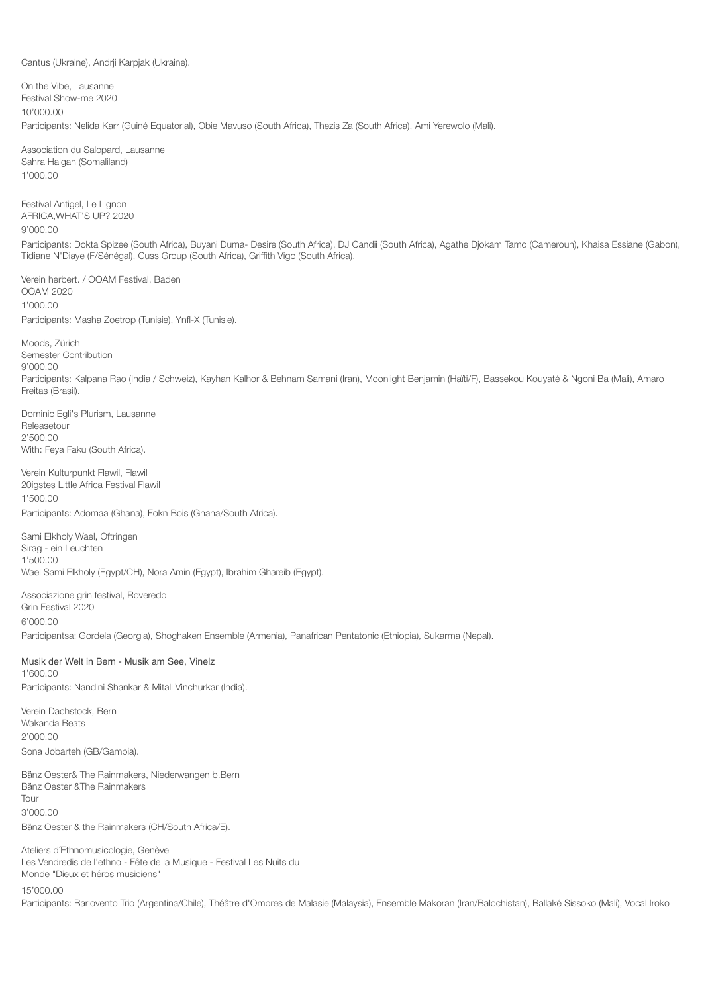Cantus (Ukraine), Andrji Karpjak (Ukraine).

On the Vibe, Lausanne Festival Show-me 2020 10'000.00 Participants: Nelida Karr (Guiné Equatorial), Obie Mavuso (South Africa), Thezis Za (South Africa), Ami Yerewolo (Mali).

Association du Salopard, Lausanne Sahra Halgan (Somaliland) 1'000.00

Festival Antigel, Le Lignon AFRICA,WHAT'S UP? 2020 9'000.00

Participants: Dokta Spizee (South Africa), Buyani Duma- Desire (South Africa), DJ Candii (South Africa), Agathe Djokam Tamo (Cameroun), Khaisa Essiane (Gabon), Tidiane N'Diaye (F/Sénégal), Cuss Group (South Africa), Griffith Vigo (South Africa).

Verein herbert. / OOAM Festival, Baden OOAM 2020 1'000.00 Participants: Masha Zoetrop (Tunisie), Ynfl-X (Tunisie).

Moods, Zürich Semester Contribution 9'000.00 Participants: Kalpana Rao (India / Schweiz), Kayhan Kalhor & Behnam Samani (Iran), Moonlight Benjamin (Haïti/F), Bassekou Kouyaté & Ngoni Ba (Mali), Amaro Freitas (Brasil).

Dominic Egli's Plurism, Lausanne Releasetour 2'500.00 With: Feya Faku (South Africa).

Verein Kulturpunkt Flawil, Flawil 20igstes Little Africa Festival Flawil 1'500.00 Participants: Adomaa (Ghana), Fokn Bois (Ghana/South Africa).

Sami Elkholy Wael, Oftringen Sirag - ein Leuchten 1'500.00 Wael Sami Elkholy (Egypt/CH), Nora Amin (Egypt), Ibrahim Ghareib (Egypt).

Associazione grin festival, Roveredo Grin Festival 2020 6'000.00 Participantsa: Gordela (Georgia), Shoghaken Ensemble (Armenia), Panafrican Pentatonic (Ethiopia), Sukarma (Nepal).

Musik der Welt in Bern - Musik am See, Vinelz 1'600.00 Participants: Nandini Shankar & Mitali Vinchurkar (India).

Verein Dachstock, Bern Wakanda Beats 2'000.00 Sona Jobarteh (GB/Gambia).

Bänz Oester& The Rainmakers, Niederwangen b.Bern Bänz Oester &The Rainmakers Tour 3'000.00

Bänz Oester & the Rainmakers (CH/South Africa/E).

Ateliers d´Ethnomusicologie, Genève Les Vendredis de l'ethno - Fête de la Musique - Festival Les Nuits du Monde "Dieux et héros musiciens"

15'000.00

Participants: Barlovento Trio (Argentina/Chile), Théâtre d'Ombres de Malasie (Malaysia), Ensemble Makoran (Iran/Balochistan), Ballaké Sissoko (Mali), Vocal Iroko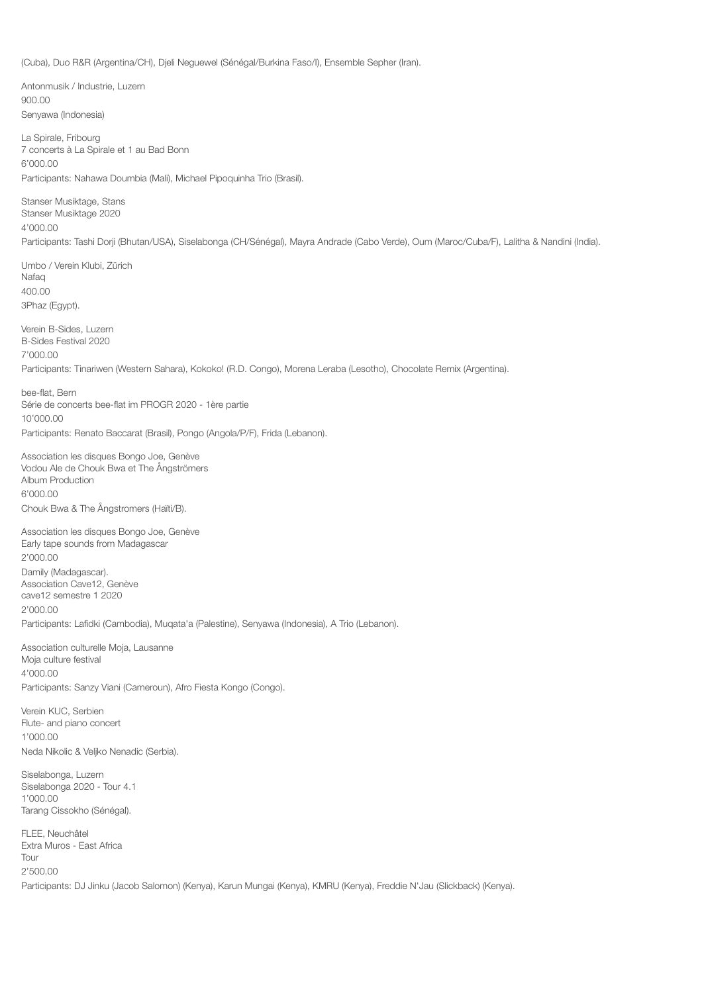(Cuba), Duo R&R (Argentina/CH), Djeli Neguewel (Sénégal/Burkina Faso/I), Ensemble Sepher (Iran).

Antonmusik / Industrie, Luzern 900.00 Senyawa (Indonesia)

La Spirale, Fribourg 7 concerts à La Spirale et 1 au Bad Bonn 6'000.00 Participants: Nahawa Doumbia (Mali), Michael Pipoquinha Trio (Brasil).

Stanser Musiktage, Stans Stanser Musiktage 2020 4'000.00

Participants: Tashi Dorji (Bhutan/USA), Siselabonga (CH/Sénégal), Mayra Andrade (Cabo Verde), Oum (Maroc/Cuba/F), Lalitha & Nandini (India).

Umbo / Verein Klubi, Zürich Nafag 400.00 3Phaz (Egypt).

Verein B-Sides, Luzern B-Sides Festival 2020 7'000.00 Participants: Tinariwen (Western Sahara), Kokoko! (R.D. Congo), Morena Leraba (Lesotho), Chocolate Remix (Argentina).

bee-flat, Bern Série de concerts bee-flat im PROGR 2020 - 1ère partie 10'000.00 Participants: Renato Baccarat (Brasil), Pongo (Angola/P/F), Frida (Lebanon).

Association les disques Bongo Joe, Genève Vodou Ale de Chouk Bwa et The Ångströmers Album Production 6'000.00 Chouk Bwa & The Ångstromers (Haïti/B).

Association les disques Bongo Joe, Genève Early tape sounds from Madagascar 2'000.00 Damily (Madagascar). Association Cave12, Genève cave12 semestre 1 2020 2'000.00 Participants: Lafidki (Cambodia), Muqata'a (Palestine), Senyawa (Indonesia), A Trio (Lebanon).

Association culturelle Moja, Lausanne Moja culture festival 4'000.00 Participants: Sanzy Viani (Cameroun), Afro Fiesta Kongo (Congo).

Verein KUC, Serbien Flute- and piano concert 1'000.00 Neda Nikolic & Veljko Nenadic (Serbia).

Siselabonga, Luzern Siselabonga 2020 - Tour 4.1 1'000.00 Tarang Cissokho (Sénégal).

FLEE, Neuchâtel Extra Muros - East Africa Tour 2'500.00 Participants: DJ Jinku (Jacob Salomon) (Kenya), Karun Mungai (Kenya), KMRU (Kenya), Freddie N'Jau (Slickback) (Kenya).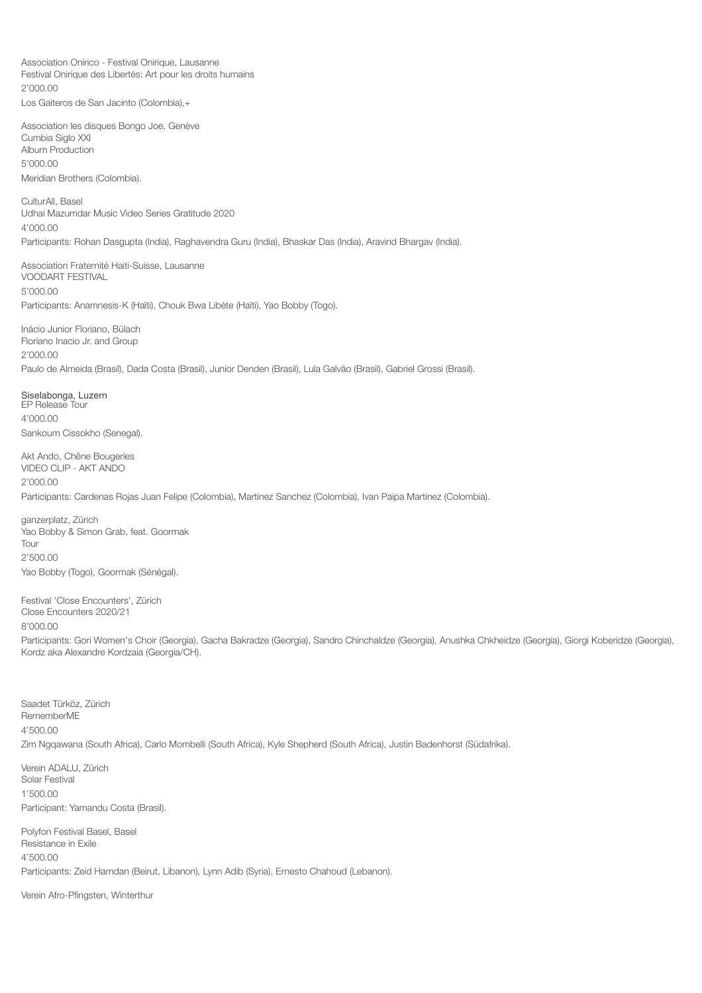Association Onírico - Festival Onirique, Lausanne Festival Onirique des Libertés: Art pour les droits humains 2'000.00 Los Gaiteros de San Jacinto (Colombia),+

Association les disques Bongo Joe, Genève Cumbia Siglo XXI Album Production 5'000.00 Meridian Brothers (Colombia).

CulturAll, Basel Udhai Mazumdar Music Video Series Gratitude 2020 4'000.00 Participants: Rohan Dasgupta (India), Raghavendra Guru (India), Bhaskar Das (India), Aravind Bhargav (India).

Association Fraternité Haiti-Suisse, Lausanne VOODART FESTIVAL 5'000.00 Participants: Anamnesis-K (Haïti), Chouk Bwa Libète (Haïti), Yao Bobby (Togo).

Inácio Junior Floriano, Bülach Floriano Inacio Jr. and Group 2'000.00 Paulo de Almeida (Brasil), Dada Costa (Brasil), Junior Denden (Brasil), Lula Galvão (Brasil), Gabriel Grossi (Brasil).

Siselabonga, Luzern EP Release Tour 4'000.00 Sankoum Cissokho (Senegal).

Akt Ando, Chêne Bougeries VIDEO CLIP - AKT ANDO 2'000.00

Participants: Cardenas Rojas Juan Felipe (Colombia), Martinez Sanchez (Colombia), Ivan Paipa Martinez (Colombia).

ganzerplatz, Zürich Yao Bobby & Simon Grab, feat. Goormak Tour 2'500.00 Yao Bobby (Togo), Goormak (Sénégal).

Festival 'Close Encounters', Zürich Close Encounters 2020/21 8'000.00

Participants: Gori Women's Choir (Georgia), Gacha Bakradze (Georgia), Sandro Chinchaldze (Georgia), Anushka Chkheidze (Georgia), Giorgi Koberidze (Georgia), Kordz aka Alexandre Kordzaia (Georgia/CH).

Saadet Türköz, Zürich RememberME 4'500.00 Zim Ngqawana (South Africa), Carlo Mombelli (South Africa), Kyle Shepherd (South Africa), Justin Badenhorst (Südafrika).

Verein ADALU, Zürich Solar Festival 1'500.00 Participant: Yamandu Costa (Brasil).

Polyfon Festival Basel, Basel Resistance in Exile 4'500.00 Participants: Zeid Hamdan (Beirut, Libanon), Lynn Adib (Syria), Ernesto Chahoud (Lebanon).

Verein Afro-Pfingsten, Winterthur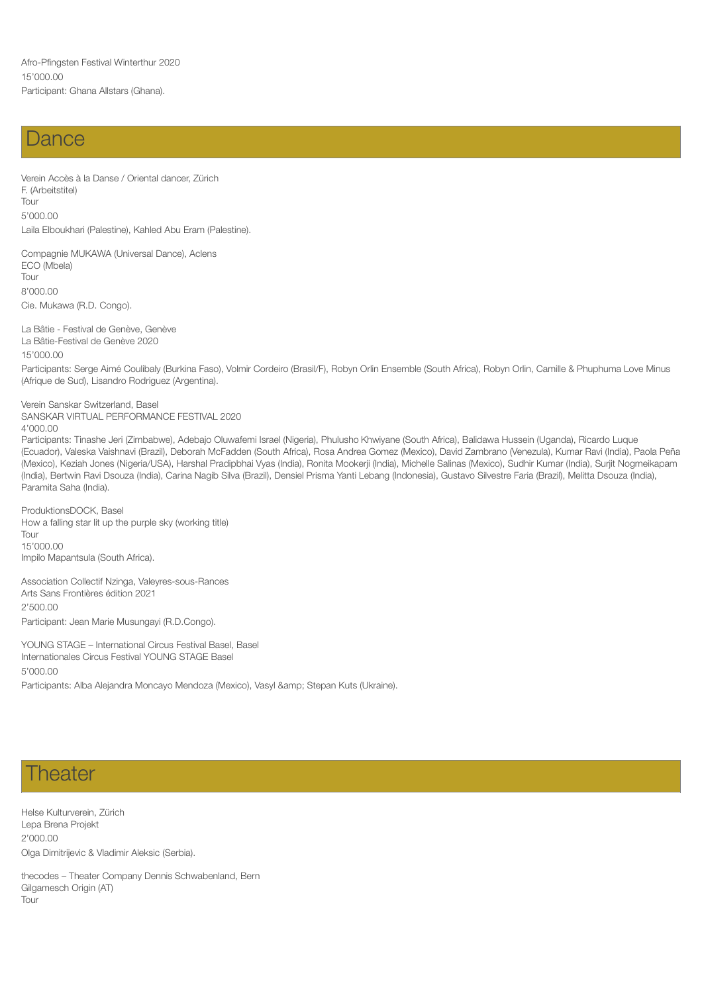### Dance

Verein Accès à la Danse / Oriental dancer, Zürich F. (Arbeitstitel) Tour 5'000.00 Laila Elboukhari (Palestine), Kahled Abu Eram (Palestine).

Compagnie MUKAWA (Universal Dance), Aclens ECO (Mbela) Tour 8'000.00 Cie. Mukawa (R.D. Congo).

La Bâtie - Festival de Genève, Genève La Bâtie-Festival de Genève 2020 15'000.00

Participants: Serge Aimé Coulibaly (Burkina Faso), Volmir Cordeiro (Brasil/F), Robyn Orlin Ensemble (South Africa), Robyn Orlin, Camille & Phuphuma Love Minus (Afrique de Sud), Lisandro Rodriguez (Argentina).

Verein Sanskar Switzerland, Basel SANSKAR VIRTUAL PERFORMANCE FESTIVAL 2020 4'000.00

Participants: Tinashe Jeri (Zimbabwe), Adebajo Oluwafemi Israel (Nigeria), Phulusho Khwiyane (South Africa), Balidawa Hussein (Uganda), Ricardo Luque (Ecuador), Valeska Vaishnavi (Brazil), Deborah McFadden (South Africa), Rosa Andrea Gomez (Mexico), David Zambrano (Venezula), Kumar Ravi (India), Paola Peña (Mexico), Keziah Jones (Nigeria/USA), Harshal Pradipbhai Vyas (India), Ronita Mookerji (India), Michelle Salinas (Mexico), Sudhir Kumar (India), Surjit Nogmeikapam (India), Bertwin Ravi Dsouza (India), Carina Nagib Silva (Brazil), Densiel Prisma Yanti Lebang (Indonesia), Gustavo Silvestre Faria (Brazil), Melitta Dsouza (India), Paramita Saha (India).

ProduktionsDOCK, Basel How a falling star lit up the purple sky (working title) Tour 15'000.00 Impilo Mapantsula (South Africa).

Association Collectif Nzinga, Valeyres-sous-Rances Arts Sans Frontières édition 2021 2'500.00 Participant: Jean Marie Musungayi (R.D.Congo).

YOUNG STAGE – International Circus Festival Basel, Basel Internationales Circus Festival YOUNG STAGE Basel 5'000.00

Participants: Alba Alejandra Moncayo Mendoza (Mexico), Vasyl & amp; Stepan Kuts (Ukraine).

## **Theater**

Helse Kulturverein, Zürich Lepa Brena Projekt 2'000.00 Olga Dimitrijevic & Vladimir Aleksic (Serbia).

thecodes – Theater Company Dennis Schwabenland, Bern Gilgamesch Origin (AT) Tour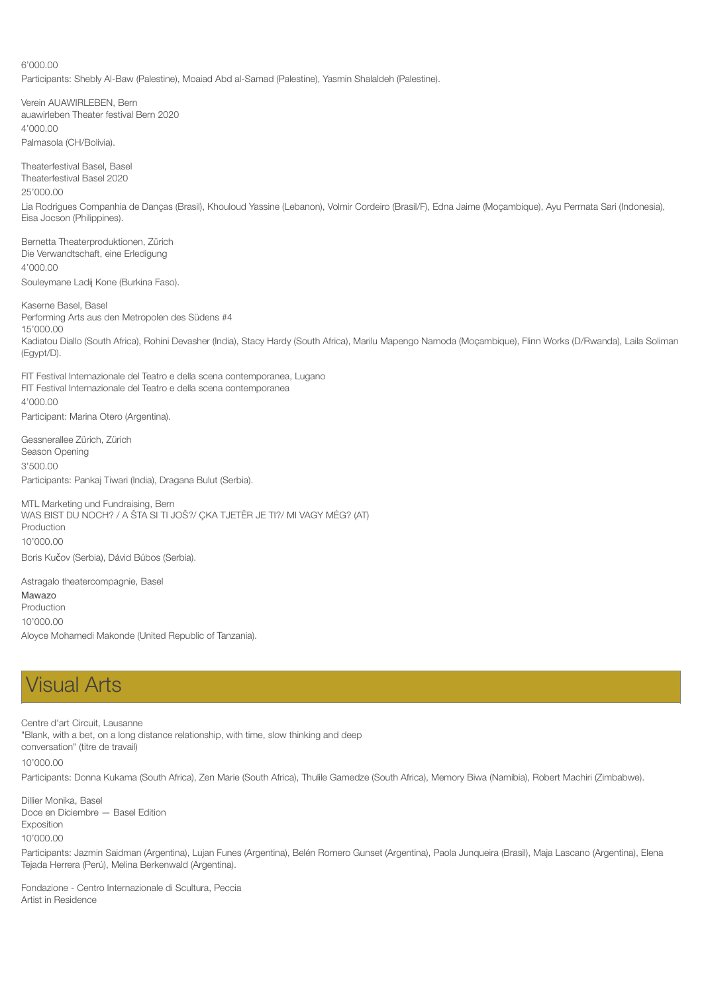6'000.00 Participants: Shebly Al-Baw (Palestine), Moaiad Abd al-Samad (Palestine), Yasmin Shalaldeh (Palestine).

Verein AUAWIRLEBEN, Bern auawirleben Theater festival Bern 2020 4'000.00 Palmasola (CH/Bolivia).

Theaterfestival Basel, Basel Theaterfestival Basel 2020

25'000.00

Lia Rodrigues Companhia de Danças (Brasil), Khouloud Yassine (Lebanon), Volmir Cordeiro (Brasil/F), Edna Jaime (Moçambique), Ayu Permata Sari (Indonesia), Eisa Jocson (Philippines).

Bernetta Theaterproduktionen, Zürich Die Verwandtschaft, eine Erledigung 4'000.00 Souleymane Ladij Kone (Burkina Faso).

Kaserne Basel, Basel Performing Arts aus den Metropolen des Südens #4 15'000.00 Kadiatou Diallo (South Africa), Rohini Devasher (India), Stacy Hardy (South Africa), Marilu Mapengo Namoda (Moçambique), Flinn Works (D/Rwanda), Laila Soliman (Egypt/D).

FIT Festival Internazionale del Teatro e della scena contemporanea, Lugano FIT Festival Internazionale del Teatro e della scena contemporanea 4'000.00

Participant: Marina Otero (Argentina).

Gessnerallee Zürich, Zürich Season Opening 3'500.00 Participants: Pankaj Tiwari (India), Dragana Bulut (Serbia).

MTL Marketing und Fundraising, Bern WAS BIST DU NOCH? / A ŠTA SI TI JOŠ?/ ÇKA TJETËR JE TI?/ MI VAGY MÉG? (AT) Production 10'000.00 Boris Kučov (Serbia), Dávid Búbos (Serbia).

Astragalo theatercompagnie, Basel Mawazo **Production** 10'000.00

Aloyce Mohamedi Makonde (United Republic of Tanzania).

# Visual Arts

Centre d'art Circuit, Lausanne "Blank, with a bet, on a long distance relationship, with time, slow thinking and deep conversation" (titre de travail)

10'000.00

Participants: Donna Kukama (South Africa), Zen Marie (South Africa), Thulile Gamedze (South Africa), Memory Biwa (Namibia), Robert Machiri (Zimbabwe).

Dillier Monika, Basel Doce en Diciembre — Basel Edition Exposition 10'000.00

Participants: Jazmin Saidman (Argentina), Lujan Funes (Argentina), Belén Romero Gunset (Argentina), Paola Junqueira (Brasil), Maja Lascano (Argentina), Elena Tejada Herrera (Perú), Melina Berkenwald (Argentina).

Fondazione - Centro Internazionale di Scultura, Peccia Artist in Residence